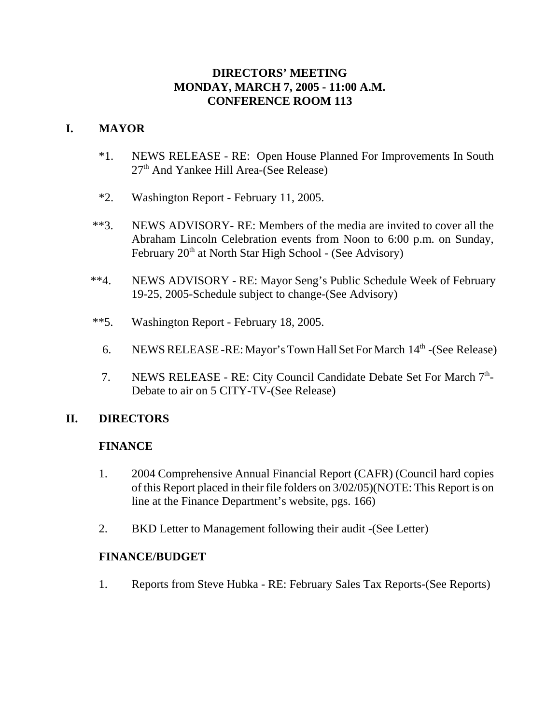### **DIRECTORS' MEETING MONDAY, MARCH 7, 2005 - 11:00 A.M. CONFERENCE ROOM 113**

# **I. MAYOR**

- \*1. NEWS RELEASE RE: Open House Planned For Improvements In South  $27<sup>th</sup>$  And Yankee Hill Area-(See Release)
- \*2. Washington Report February 11, 2005.
- \*\*3. NEWS ADVISORY- RE: Members of the media are invited to cover all the Abraham Lincoln Celebration events from Noon to 6:00 p.m. on Sunday, February  $20<sup>th</sup>$  at North Star High School - (See Advisory)
- \*\*4. NEWS ADVISORY RE: Mayor Seng's Public Schedule Week of February 19-25, 2005-Schedule subject to change-(See Advisory)
- \*\*5. Washington Report February 18, 2005.
	- 6. NEWS RELEASE RE: Mayor's Town Hall Set For March  $14<sup>th</sup>$  (See Release)
	- 7. NEWS RELEASE RE: City Council Candidate Debate Set For March 7<sup>th</sup>-Debate to air on 5 CITY-TV-(See Release)

# **II. DIRECTORS**

### **FINANCE**

- 1. 2004 Comprehensive Annual Financial Report (CAFR) (Council hard copies of this Report placed in their file folders on 3/02/05)(NOTE: This Report is on line at the Finance Department's website, pgs. 166)
- 2. BKD Letter to Management following their audit -(See Letter)

### **FINANCE/BUDGET**

1. Reports from Steve Hubka - RE: February Sales Tax Reports-(See Reports)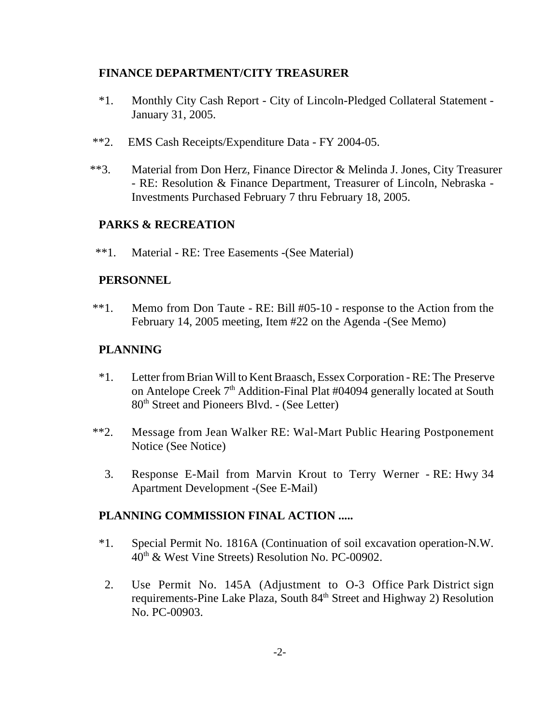### **FINANCE DEPARTMENT/CITY TREASURER**

- \*1. Monthly City Cash Report City of Lincoln-Pledged Collateral Statement January 31, 2005.
- \*\*2. EMS Cash Receipts/Expenditure Data FY 2004-05.
- \*\*3. Material from Don Herz, Finance Director & Melinda J. Jones, City Treasurer - RE: Resolution & Finance Department, Treasurer of Lincoln, Nebraska - Investments Purchased February 7 thru February 18, 2005.

## **PARKS & RECREATION**

\*\*1. Material - RE: Tree Easements -(See Material)

### **PERSONNEL**

\*\*1. Memo from Don Taute - RE: Bill #05-10 - response to the Action from the February 14, 2005 meeting, Item #22 on the Agenda -(See Memo)

### **PLANNING**

- \*1. Letter from Brian Will to Kent Braasch, Essex Corporation RE: The Preserve on Antelope Creek 7<sup>th</sup> Addition-Final Plat #04094 generally located at South 80th Street and Pioneers Blvd. - (See Letter)
- \*\*2. Message from Jean Walker RE: Wal-Mart Public Hearing Postponement Notice (See Notice)
	- 3. Response E-Mail from Marvin Krout to Terry Werner RE: Hwy 34 Apartment Development -(See E-Mail)

#### **PLANNING COMMISSION FINAL ACTION .....**

- \*1. Special Permit No. 1816A (Continuation of soil excavation operation-N.W. 40th & West Vine Streets) Resolution No. PC-00902.
- 2. Use Permit No. 145A (Adjustment to O-3 Office Park District sign requirements-Pine Lake Plaza, South 84<sup>th</sup> Street and Highway 2) Resolution No. PC-00903.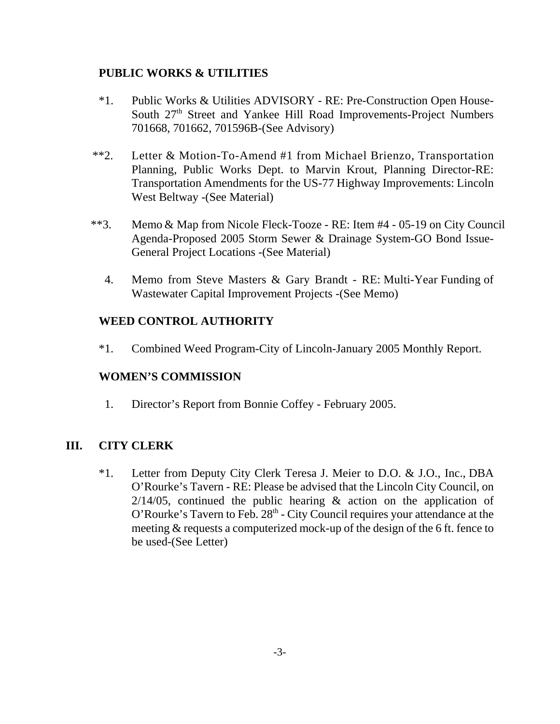### **PUBLIC WORKS & UTILITIES**

- \*1. Public Works & Utilities ADVISORY RE: Pre-Construction Open House-South 27<sup>th</sup> Street and Yankee Hill Road Improvements-Project Numbers 701668, 701662, 701596B-(See Advisory)
- \*\*2. Letter & Motion-To-Amend #1 from Michael Brienzo, Transportation Planning, Public Works Dept. to Marvin Krout, Planning Director-RE: Transportation Amendments for the US-77 Highway Improvements: Lincoln West Beltway -(See Material)
- \*\*3. Memo & Map from Nicole Fleck-Tooze RE: Item #4 05-19 on City Council Agenda-Proposed 2005 Storm Sewer & Drainage System-GO Bond Issue-General Project Locations -(See Material)
	- 4. Memo from Steve Masters & Gary Brandt RE: Multi-Year Funding of Wastewater Capital Improvement Projects -(See Memo)

### **WEED CONTROL AUTHORITY**

\*1. Combined Weed Program-City of Lincoln-January 2005 Monthly Report.

### **WOMEN'S COMMISSION**

1. Director's Report from Bonnie Coffey - February 2005.

### **III. CITY CLERK**

\*1. Letter from Deputy City Clerk Teresa J. Meier to D.O. & J.O., Inc., DBA O'Rourke's Tavern - RE: Please be advised that the Lincoln City Council, on  $2/14/05$ , continued the public hearing & action on the application of  $O'$ Rourke's Tavern to Feb.  $28<sup>th</sup>$  - City Council requires your attendance at the meeting & requests a computerized mock-up of the design of the 6 ft. fence to be used-(See Letter)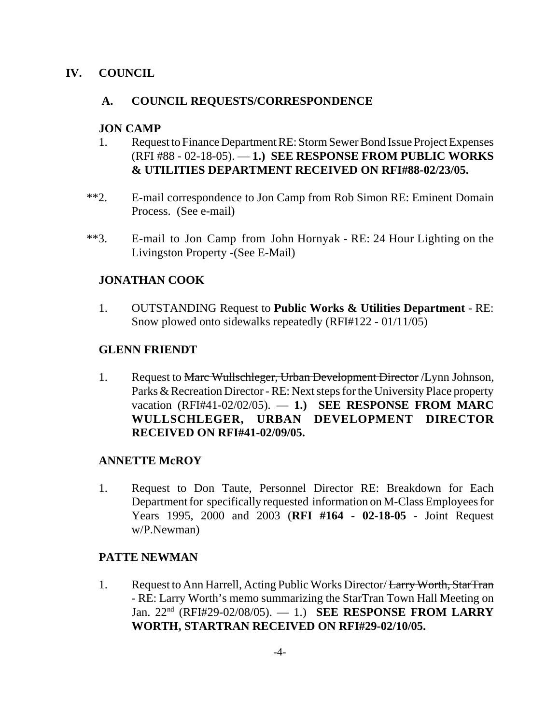### **IV. COUNCIL**

### **A. COUNCIL REQUESTS/CORRESPONDENCE**

#### **JON CAMP**

- 1. Request to Finance Department RE: Storm Sewer Bond Issue Project Expenses (RFI #88 - 02-18-05). — **1.) SEE RESPONSE FROM PUBLIC WORKS & UTILITIES DEPARTMENT RECEIVED ON RFI#88-02/23/05.**
- \*\*2. E-mail correspondence to Jon Camp from Rob Simon RE: Eminent Domain Process. (See e-mail)
- \*\*3. E-mail to Jon Camp from John Hornyak RE: 24 Hour Lighting on the Livingston Property -(See E-Mail)

### **JONATHAN COOK**

1. OUTSTANDING Request to **Public Works & Utilities Department** - RE: Snow plowed onto sidewalks repeatedly (RFI#122 - 01/11/05)

#### **GLENN FRIENDT**

1. Request to Marc Wullschleger, Urban Development Director /Lynn Johnson, Parks & Recreation Director - RE: Next steps for the University Place property vacation (RFI#41-02/02/05). — **1.) SEE RESPONSE FROM MARC WULLSCHLEGER, URBAN DEVELOPMENT DIRECTOR RECEIVED ON RFI#41-02/09/05.**

### **ANNETTE McROY**

1. Request to Don Taute, Personnel Director RE: Breakdown for Each Department for specifically requested information on M-Class Employees for Years 1995, 2000 and 2003 (**RFI #164 - 02-18-05** - Joint Request w/P.Newman)

### **PATTE NEWMAN**

1. Request to Ann Harrell, Acting Public Works Director/ Larry Worth, StarTran - RE: Larry Worth's memo summarizing the StarTran Town Hall Meeting on Jan. 22nd (RFI#29-02/08/05). — 1.) **SEE RESPONSE FROM LARRY WORTH, STARTRAN RECEIVED ON RFI#29-02/10/05.**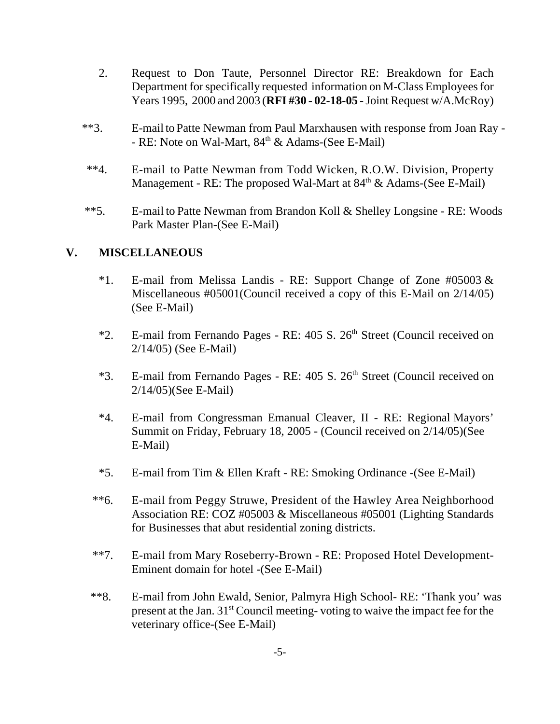- 2. Request to Don Taute, Personnel Director RE: Breakdown for Each Department for specifically requested information on M-Class Employees for Years 1995, 2000 and 2003 (**RFI #30 - 02-18-05** - Joint Request w/A.McRoy)
- \*\*3. E-mail to Patte Newman from Paul Marxhausen with response from Joan Ray - RE: Note on Wal-Mart,  $84<sup>th</sup>$  & Adams-(See E-Mail)
- \*\*4. E-mail to Patte Newman from Todd Wicken, R.O.W. Division, Property Management - RE: The proposed Wal-Mart at 84<sup>th</sup> & Adams-(See E-Mail)
- \*\*5. E-mail to Patte Newman from Brandon Koll & Shelley Longsine RE: Woods Park Master Plan-(See E-Mail)

### **V. MISCELLANEOUS**

- \*1. E-mail from Melissa Landis RE: Support Change of Zone  $\#05003 \&$ Miscellaneous #05001(Council received a copy of this E-Mail on 2/14/05) (See E-Mail)
- \*2. E-mail from Fernando Pages RE: 405 S. 26<sup>th</sup> Street (Council received on 2/14/05) (See E-Mail)
- \*3. E-mail from Fernando Pages RE: 405 S. 26<sup>th</sup> Street (Council received on 2/14/05)(See E-Mail)
- \*4. E-mail from Congressman Emanual Cleaver, II RE: Regional Mayors' Summit on Friday, February 18, 2005 - (Council received on 2/14/05)(See E-Mail)
- \*5. E-mail from Tim & Ellen Kraft RE: Smoking Ordinance -(See E-Mail)
- \*\*6. E-mail from Peggy Struwe, President of the Hawley Area Neighborhood Association RE: COZ #05003 & Miscellaneous #05001 (Lighting Standards for Businesses that abut residential zoning districts.
- \*\*7. E-mail from Mary Roseberry-Brown RE: Proposed Hotel Development-Eminent domain for hotel -(See E-Mail)
- \*\*8. E-mail from John Ewald, Senior, Palmyra High School- RE: 'Thank you' was present at the Jan. 31st Council meeting- voting to waive the impact fee for the veterinary office-(See E-Mail)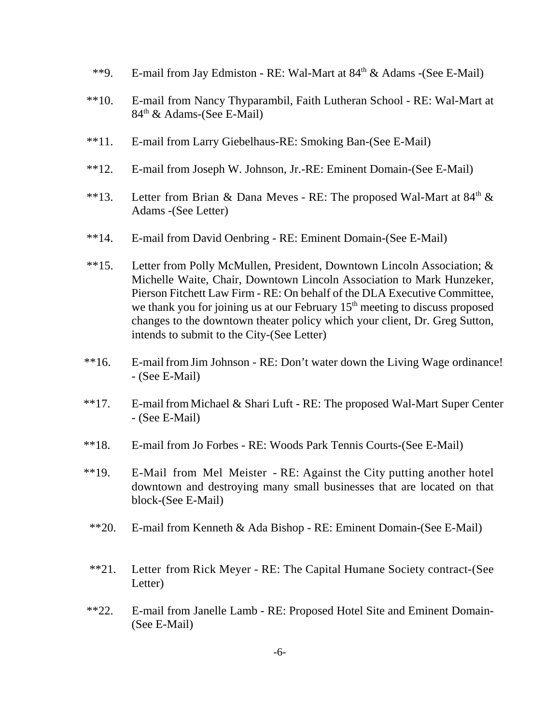- \*\*9. E-mail from Jay Edmiston RE: Wal-Mart at 84<sup>th</sup> & Adams -(See E-Mail)
- \*\*10. E-mail from Nancy Thyparambil, Faith Lutheran School RE: Wal-Mart at  $84<sup>th</sup>$  & Adams-(See E-Mail)
- \*\*11. E-mail from Larry Giebelhaus-RE: Smoking Ban-(See E-Mail)
- \*\*12. E-mail from Joseph W. Johnson, Jr.-RE: Eminent Domain-(See E-Mail)
- \*\*13. Letter from Brian & Dana Meves RE: The proposed Wal-Mart at  $84<sup>th</sup>$  & Adams -(See Letter)
- \*\*14. E-mail from David Oenbring RE: Eminent Domain-(See E-Mail)
- \*\*15. Letter from Polly McMullen, President, Downtown Lincoln Association; & Michelle Waite, Chair, Downtown Lincoln Association to Mark Hunzeker, Pierson Fitchett Law Firm - RE: On behalf of the DLA Executive Committee, we thank you for joining us at our February  $15<sup>th</sup>$  meeting to discuss proposed changes to the downtown theater policy which your client, Dr. Greg Sutton, intends to submit to the City-(See Letter)
- \*\*16. E-mail from Jim Johnson RE: Don't water down the Living Wage ordinance! - (See E-Mail)
- \*\*17. E-mail from Michael & Shari Luft RE: The proposed Wal-Mart Super Center - (See E-Mail)
- \*\*18. E-mail from Jo Forbes RE: Woods Park Tennis Courts-(See E-Mail)
- \*\*19. E-Mail from Mel Meister RE: Against the City putting another hotel downtown and destroying many small businesses that are located on that block-(See E-Mail)
- \*\*20. E-mail from Kenneth & Ada Bishop RE: Eminent Domain-(See E-Mail)
- \*\*21. Letter from Rick Meyer RE: The Capital Humane Society contract-(See Letter)
- \*\*22. E-mail from Janelle Lamb RE: Proposed Hotel Site and Eminent Domain- (See E-Mail)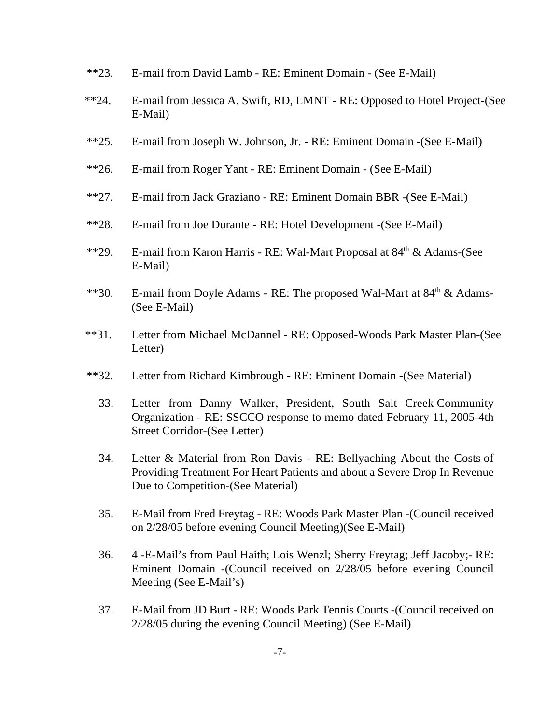- \*\*23. E-mail from David Lamb RE: Eminent Domain (See E-Mail)
- \*\*24. E-mail from Jessica A. Swift, RD, LMNT RE: Opposed to Hotel Project-(See E-Mail)
- \*\*25. E-mail from Joseph W. Johnson, Jr. RE: Eminent Domain -(See E-Mail)
- \*\*26. E-mail from Roger Yant RE: Eminent Domain (See E-Mail)
- \*\*27. E-mail from Jack Graziano RE: Eminent Domain BBR -(See E-Mail)
- \*\*28. E-mail from Joe Durante RE: Hotel Development -(See E-Mail)
- \*\*29. E-mail from Karon Harris RE: Wal-Mart Proposal at 84<sup>th</sup> & Adams-(See E-Mail)
- \*\*30. E-mail from Doyle Adams RE: The proposed Wal-Mart at 84<sup>th</sup> & Adams-(See E-Mail)
- \*\*31. Letter from Michael McDannel RE: Opposed-Woods Park Master Plan-(See Letter)
- \*\*32. Letter from Richard Kimbrough RE: Eminent Domain -(See Material)
	- 33. Letter from Danny Walker, President, South Salt Creek Community Organization - RE: SSCCO response to memo dated February 11, 2005-4th Street Corridor-(See Letter)
	- 34. Letter & Material from Ron Davis RE: Bellyaching About the Costs of Providing Treatment For Heart Patients and about a Severe Drop In Revenue Due to Competition-(See Material)
	- 35. E-Mail from Fred Freytag RE: Woods Park Master Plan -(Council received on 2/28/05 before evening Council Meeting)(See E-Mail)
	- 36. 4 -E-Mail's from Paul Haith; Lois Wenzl; Sherry Freytag; Jeff Jacoby;- RE: Eminent Domain -(Council received on 2/28/05 before evening Council Meeting (See E-Mail's)
	- 37. E-Mail from JD Burt RE: Woods Park Tennis Courts -(Council received on 2/28/05 during the evening Council Meeting) (See E-Mail)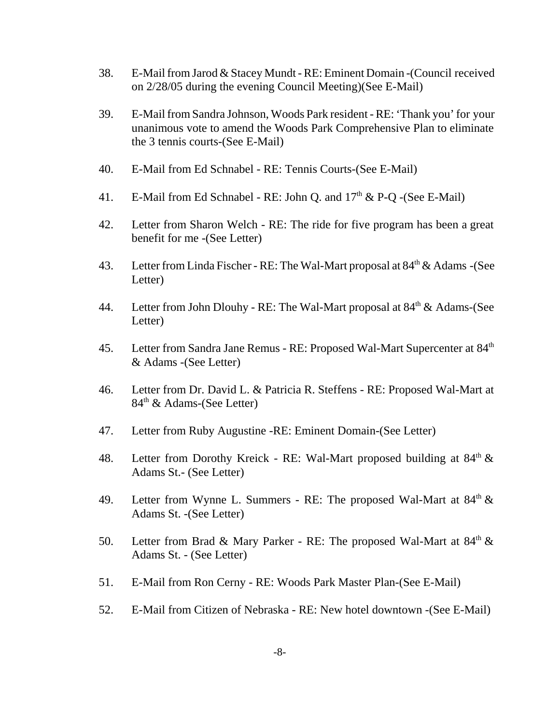- 38. E-Mail from Jarod & Stacey Mundt RE: Eminent Domain -(Council received on 2/28/05 during the evening Council Meeting)(See E-Mail)
- 39. E-Mail from Sandra Johnson, Woods Park resident RE: 'Thank you' for your unanimous vote to amend the Woods Park Comprehensive Plan to eliminate the 3 tennis courts-(See E-Mail)
- 40. E-Mail from Ed Schnabel RE: Tennis Courts-(See E-Mail)
- 41. E-Mail from Ed Schnabel RE: John Q. and  $17<sup>th</sup>$  & P-Q -(See E-Mail)
- 42. Letter from Sharon Welch RE: The ride for five program has been a great benefit for me -(See Letter)
- 43. Letter from Linda Fischer RE: The Wal-Mart proposal at 84<sup>th</sup> & Adams -(See Letter)
- 44. Letter from John Dlouhy RE: The Wal-Mart proposal at  $84<sup>th</sup> \&$  Adams-(See Letter)
- 45. Letter from Sandra Jane Remus RE: Proposed Wal-Mart Supercenter at 84<sup>th</sup> & Adams -(See Letter)
- 46. Letter from Dr. David L. & Patricia R. Steffens RE: Proposed Wal-Mart at 84<sup>th</sup> & Adams-(See Letter)
- 47. Letter from Ruby Augustine -RE: Eminent Domain-(See Letter)
- 48. Letter from Dorothy Kreick RE: Wal-Mart proposed building at  $84<sup>th</sup> \&$ Adams St.- (See Letter)
- 49. Letter from Wynne L. Summers RE: The proposed Wal-Mart at  $84<sup>th</sup>$  & Adams St. -(See Letter)
- 50. Letter from Brad & Mary Parker RE: The proposed Wal-Mart at  $84<sup>th</sup>$  & Adams St. - (See Letter)
- 51. E-Mail from Ron Cerny RE: Woods Park Master Plan-(See E-Mail)
- 52. E-Mail from Citizen of Nebraska RE: New hotel downtown -(See E-Mail)